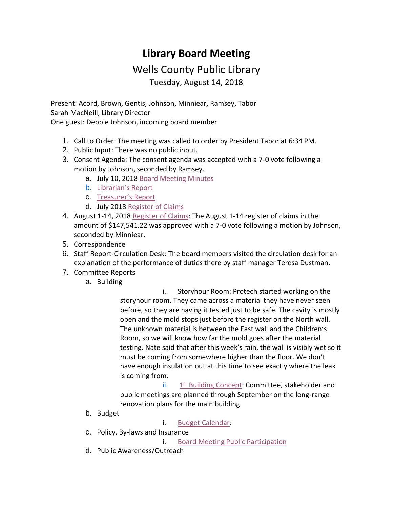## **Library Board Meeting**

## Wells County Public Library Tuesday, August 14, 2018

Present: Acord, Brown, Gentis, Johnson, Minniear, Ramsey, Tabor Sarah MacNeill, Library Director One guest: Debbie Johnson, incoming board member

- 1. Call to Order: The meeting was called to order by President Tabor at 6:34 PM.
- 2. Public Input: There was no public input.
- 3. Consent Agenda: The consent agenda was accepted with a 7-0 vote following a motion by Johnson, seconded by Ramsey.
	- a. July 10, 2018 [Board Meeting Minutes](http://wellscolibrary.org/board/agenda_files/Minutes.pdf)
	- b. [Librarian's Report](http://www.wellscolibrary.org/board/agenda_files/Librarian%20Report.pdf)
	- c. Treas[urer's Report](http://www.wellscolibrary.org/board/agenda_files/Financial%20Report.pdf)
	- d. July 2018 [Register of Claims](http://www.wellscolibrary.org/board/agenda_files/Previous%20Register%20Of%20Claims.pdf)
- 4. August 1-14, 2018 [Register of Claims:](http://www.wellscolibrary.org/board/agenda_files/Current%20Register%20Of%20Claims.pdf) The August 1-14 register of claims in the amount of \$147,541.22 was approved with a 7-0 vote following a motion by Johnson, seconded by Minniear.
- 5. Correspondence
- 6. Staff Report-Circulation Desk: The board members visited the circulation desk for an explanation of the performance of duties there by staff manager Teresa Dustman.
- 7. Committee Reports
	- a. Building

 i. Storyhour Room: Protech started working on the storyhour room. They came across a material they have never seen before, so they are having it tested just to be safe. The cavity is mostly open and the mold stops just before the register on the North wall. The unknown material is between the East wall and the Children's Room, so we will know how far the mold goes after the material testing. Nate said that after this week's rain, the wall is visibly wet so it must be coming from somewhere higher than the floor. We don't have enough insulation out at this time to see exactly where the leak is coming from.

ii. 1915.  $\frac{1}{1}$ 1<sup>st</sup> [Building Concept:](http://www.wellscolibrary.org/board/agenda_files/2018-08-10%20Conceptual%20Building%20Organization.pdf) Committee, stakeholder and public meetings are planned through September on the long-range renovation plans for the main building.

b. Budget

i. [Budget Calendar:](http://www.wellscolibrary.org/board/Budget%20Materials/2019%20Budget/2018-19%20Budget%20Calendar%20WCPL.pdf)

- c. Policy, By-laws and Insurance
	- i. [Board Meeting Public Participation](http://www.wellscolibrary.org/board/WCPL%20Policies/Library%20Policy/Board%20Meeting%20Public%20Participation%20Policy.pdf)
- d. Public Awareness/Outreach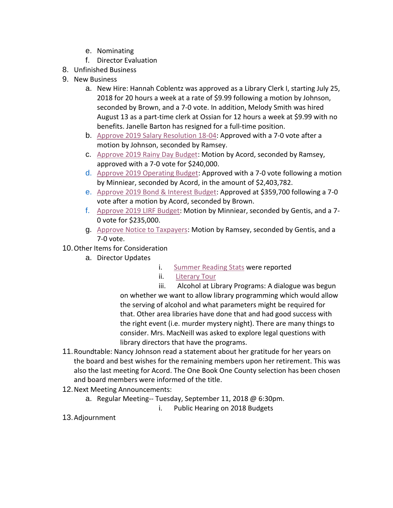- e. Nominating
- f. Director Evaluation
- 8. Unfinished Business
- 9. New Business
	- a. New Hire: Hannah Coblentz was approved as a Library Clerk I, starting July 25, 2018 for 20 hours a week at a rate of \$9.99 following a motion by Johnson, seconded by Brown, and a 7-0 vote. In addition, Melody Smith was hired August 13 as a part-time clerk at Ossian for 12 hours a week at \$9.99 with no benefits. Janelle Barton has resigned for a full-time position.
	- b. [Approve 2019 Salary Resolution 18-04:](http://www.wellscolibrary.org/board/Budget%20Materials/2019%20Budget/2019%20Salary%20Resolution.pdf) Approved with a 7-0 vote after a motion by Johnson, seconded by Ramsey.
	- c. [Approve 2019 Rainy Day Budget:](http://www.wellscolibrary.org/board/Budget%20Materials/2019%20Budget/Form%201-All%20Funds%202019.pdf) Motion by Acord, seconded by Ramsey, approved with a 7-0 vote for \$240,000.
	- d. [Approve 2019 Operating Budget:](http://www.wellscolibrary.org/board/Budget%20Materials/2019%20Budget/Form%201-All%20Funds%202019.pdf) Approved with a 7-0 vote following a motion by Minniear, seconded by Acord, in the amount of \$2,403,782.
	- e. [Approve 2019 Bond & Interest Budget:](http://www.wellscolibrary.org/board/Budget%20Materials/2019%20Budget/Form%201-All%20Funds%202019.pdf) Approved at \$359,700 following a 7-0 vote after a motion by Acord, seconded by Brown.
	- f. [Approve 2019 LIRF Budget:](http://www.wellscolibrary.org/board/Budget%20Materials/2019%20Budget/Form%201-All%20Funds%202019.pdf) Motion by Minniear, seconded by Gentis, and a 7- 0 vote for \$235,000.
	- g. [Approve Notice to Taxpayers:](http://www.wellscolibrary.org/board/Budget%20Materials/2019%20Budget/Form%203%20Notice%20to%20Taxpayers.pdf) Motion by Ramsey, seconded by Gentis, and a 7-0 vote.
- 10.Other Items for Consideration
	- a. Director Updates
- i. [Summer Reading Stats](http://www.wellscolibrary.org/board/agenda_files/Combined%20%20SRP%20Statistics.pdf) were reported
- ii. [Literary Tour](http://www.wellscolibrary.org/board/Past%20Meeting%20Material/2018%20Meetings/July/Literary%20Tour.pdf)

iii. Alcohol at Library Programs: A dialogue was begun on whether we want to allow library programming which would allow the serving of alcohol and what parameters might be required for that. Other area libraries have done that and had good success with the right event (i.e. murder mystery night). There are many things to consider. Mrs. MacNeill was asked to explore legal questions with library directors that have the programs.

- 11.Roundtable: Nancy Johnson read a statement about her gratitude for her years on the board and best wishes for the remaining members upon her retirement. This was also the last meeting for Acord. The One Book One County selection has been chosen and board members were informed of the title.
- 12.Next Meeting Announcements:
	- a. Regular Meeting-- Tuesday, September 11, 2018 @ 6:30pm.
		- i. Public Hearing on 2018 Budgets
- 13.Adjournment